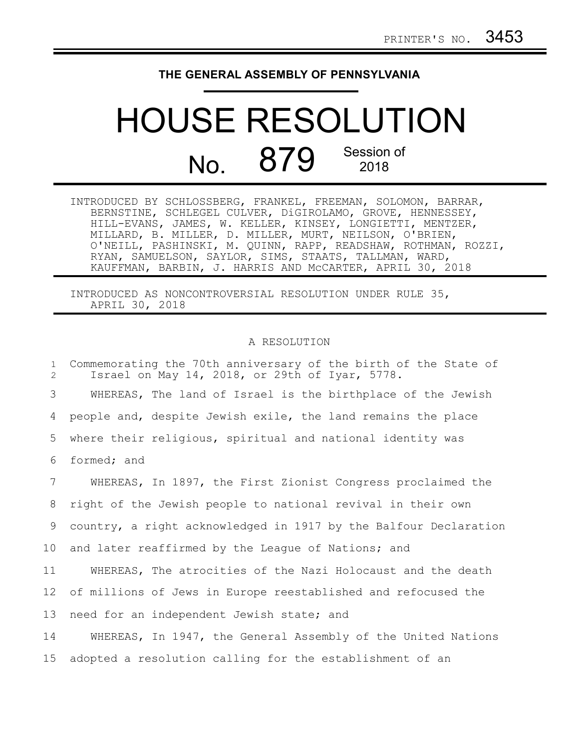## **THE GENERAL ASSEMBLY OF PENNSYLVANIA**

## HOUSE RESOLUTION No. 879 Session of 2018

| INTRODUCED BY SCHLOSSBERG, FRANKEL, FREEMAN, SOLOMON, BARRAR, |
|---------------------------------------------------------------|
| BERNSTINE, SCHLEGEL CULVER, DIGIROLAMO, GROVE, HENNESSEY,     |
| HILL-EVANS, JAMES, W. KELLER, KINSEY, LONGIETTI, MENTZER,     |
| MILLARD, B. MILLER, D. MILLER, MURT, NEILSON, O'BRIEN,        |
| O'NEILL, PASHINSKI, M. QUINN, RAPP, READSHAW, ROTHMAN, ROZZI, |
| RYAN, SAMUELSON, SAYLOR, SIMS, STAATS, TALLMAN, WARD,         |
| KAUFFMAN, BARBIN, J. HARRIS AND MCCARTER, APRIL 30, 2018      |

INTRODUCED AS NONCONTROVERSIAL RESOLUTION UNDER RULE 35, APRIL 30, 2018

## A RESOLUTION

Commemorating the 70th anniversary of the birth of the State of Israel on May 14, 2018, or 29th of Iyar, 5778. WHEREAS, The land of Israel is the birthplace of the Jewish people and, despite Jewish exile, the land remains the place where their religious, spiritual and national identity was formed; and WHEREAS, In 1897, the First Zionist Congress proclaimed the right of the Jewish people to national revival in their own country, a right acknowledged in 1917 by the Balfour Declaration and later reaffirmed by the League of Nations; and WHEREAS, The atrocities of the Nazi Holocaust and the death of millions of Jews in Europe reestablished and refocused the need for an independent Jewish state; and WHEREAS, In 1947, the General Assembly of the United Nations adopted a resolution calling for the establishment of an 1 2 3 4 5 6 7 8 9 10 11 12 13 14 15